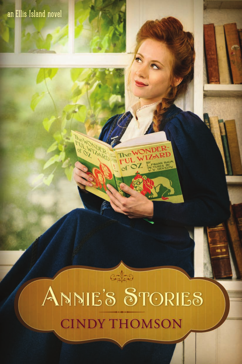## an Ellis Island novel

 $\sim$ 

# cates ANNIE'S STORIES **CINDY THOMSON**

AMR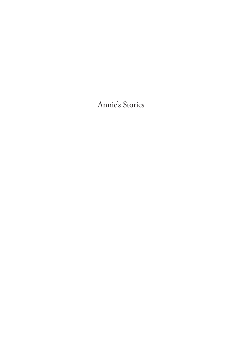Annie's Stories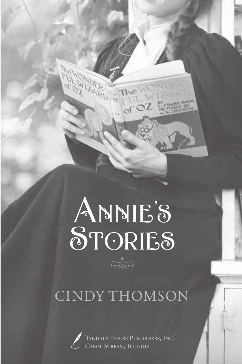# $\frac{1}{2}$ ANNIE'S STORIES

**RAIRD** 

## CINDY THOMSON



Tyndale House Publishers, Inc. Carol Stream, Illinois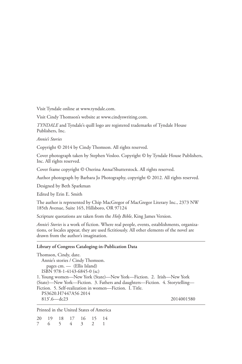Visit Tyndale online at www.tyndale.com.

Visit Cindy Thomson's website at www.cindyswriting.com.

*TYNDALE* and Tyndale's quill logo are registered trademarks of Tyndale House Publishers, Inc.

*Annie's Stories*

Copyright © 2014 by Cindy Thomson. All rights reserved.

Cover photograph taken by Stephen Vosloo. Copyright © by Tyndale House Publishers, Inc. All rights reserved.

Cover frame copyright © Ozerina Anna/Shutterstock. All rights reserved.

Author photograph by Barbara Jo Photography, copyright © 2012. All rights reserved.

Designed by Beth Sparkman

Edited by Erin E. Smith

The author is represented by Chip MacGregor of MacGregor Literary Inc., 2373 NW 185th Avenue, Suite 165, Hillsboro, OR 97124

Scripture quotations are taken from the *Holy Bible*, King James Version.

*Annie's Stories* is a work of fiction. Where real people, events, establishments, organizations, or locales appear, they are used fictitiously. All other elements of the novel are drawn from the author's imagination.

#### **Library of Congress Cataloging-in-Publication Data**

Thomson, Cindy, date. Annie's stories / Cindy Thomson. pages cm. — (Ellis Island) ISBN 978-1-4143-6845-0 (sc) 1. Young women—New York (State)—New York—Fiction. 2. Irish—New York (State)—New York—Fiction. 3. Fathers and daughters—Fiction. 4. Storytelling— Fiction. 5. Self-realization in women—Fiction. I. Title. PS3620.H7447A56 2014 813'.6—dc23 2014001580

Printed in the United States of America

20 19 18 17 16 15 14 7 6 5 4 3 2 1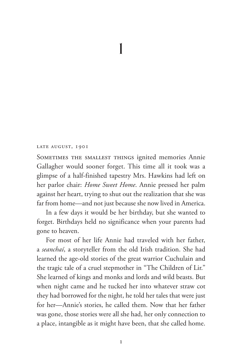### LATE AUGUST, 1901

SOMETIMES THE SMALLEST THINGS ignited memories Annie Gallagher would sooner forget. This time all it took was a glimpse of a half-finished tapestry Mrs. Hawkins had left on her parlor chair: *Home Sweet Home*. Annie pressed her palm against her heart, trying to shut out the realization that she was far from home—and not just because she now lived in America.

In a few days it would be her birthday, but she wanted to forget. Birthdays held no significance when your parents had gone to heaven.

For most of her life Annie had traveled with her father, a *seanchaí*, a storyteller from the old Irish tradition. She had learned the age-old stories of the great warrior Cuchulain and the tragic tale of a cruel stepmother in "The Children of Lir." She learned of kings and monks and lords and wild beasts. But when night came and he tucked her into whatever straw cot they had borrowed for the night, he told her tales that were just for her—Annie's stories, he called them. Now that her father was gone, those stories were all she had, her only connection to a place, intangible as it might have been, that she called home.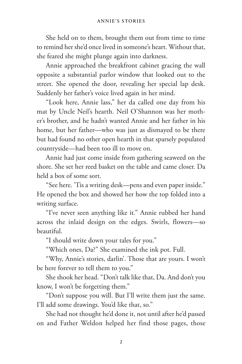She held on to them, brought them out from time to time to remind her she'd once lived in someone's heart. Without that, she feared she might plunge again into darkness.

Annie approached the breakfront cabinet gracing the wall opposite a substantial parlor window that looked out to the street. She opened the door, revealing her special lap desk. Suddenly her father's voice lived again in her mind.

"Look here, Annie lass," her da called one day from his mat by Uncle Neil's hearth. Neil O'Shannon was her mother's brother, and he hadn't wanted Annie and her father in his home, but her father—who was just as dismayed to be there but had found no other open hearth in that sparsely populated countryside—had been too ill to move on.

Annie had just come inside from gathering seaweed on the shore. She set her reed basket on the table and came closer. Da held a box of some sort.

"See here. 'Tis a writing desk—pens and even paper inside." He opened the box and showed her how the top folded into a writing surface.

"I've never seen anything like it." Annie rubbed her hand across the inlaid design on the edges. Swirls, flowers—so beautiful.

"I should write down your tales for you."

"Which ones, Da?" She examined the ink pot. Full.

"Why, Annie's stories, darlin'. Those that are yours. I won't be here forever to tell them to you."

She shook her head. "Don't talk like that, Da. And don't you know, I won't be forgetting them."

"Don't suppose you will. But I'll write them just the same. I'll add some drawings. You'd like that, so."

She had not thought he'd done it, not until after he'd passed on and Father Weldon helped her find those pages, those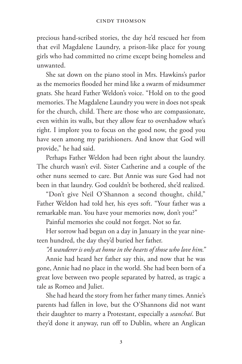precious hand-scribed stories, the day he'd rescued her from that evil Magdalene Laundry, a prison-like place for young girls who had committed no crime except being homeless and unwanted.

She sat down on the piano stool in Mrs. Hawkins's parlor as the memories flooded her mind like a swarm of midsummer gnats. She heard Father Weldon's voice. "Hold on to the good memories. The Magdalene Laundry you were in does not speak for the church, child. There are those who are compassionate, even within its walls, but they allow fear to overshadow what's right. I implore you to focus on the good now, the good you have seen among my parishioners. And know that God will provide," he had said.

Perhaps Father Weldon had been right about the laundry. The church wasn't evil. Sister Catherine and a couple of the other nuns seemed to care. But Annie was sure God had not been in that laundry. God couldn't be bothered, she'd realized.

"Don't give Neil O'Shannon a second thought, child," Father Weldon had told her, his eyes soft. "Your father was a remarkable man. You have your memories now, don't you?"

Painful memories she could not forget. Not so far.

Her sorrow had begun on a day in January in the year nineteen hundred, the day they'd buried her father.

*"A wanderer is only at home in the hearts of those who love him."*

Annie had heard her father say this, and now that he was gone, Annie had no place in the world. She had been born of a great love between two people separated by hatred, as tragic a tale as Romeo and Juliet.

She had heard the story from her father many times. Annie's parents had fallen in love, but the O'Shannons did not want their daughter to marry a Protestant, especially a *seanchaí*. But they'd done it anyway, run off to Dublin, where an Anglican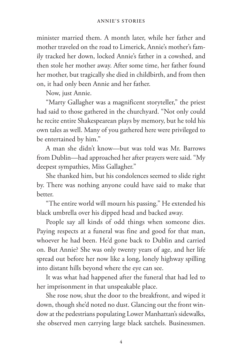minister married them. A month later, while her father and mother traveled on the road to Limerick, Annie's mother's family tracked her down, locked Annie's father in a cowshed, and then stole her mother away. After some time, her father found her mother, but tragically she died in childbirth, and from then on, it had only been Annie and her father.

Now, just Annie.

"Marty Gallagher was a magnificent storyteller," the priest had said to those gathered in the churchyard. "Not only could he recite entire Shakespearean plays by memory, but he told his own tales as well. Many of you gathered here were privileged to be entertained by him."

A man she didn't know—but was told was Mr. Barrows from Dublin—had approached her after prayers were said. "My deepest sympathies, Miss Gallagher."

She thanked him, but his condolences seemed to slide right by. There was nothing anyone could have said to make that better.

"The entire world will mourn his passing." He extended his black umbrella over his dipped head and backed away.

People say all kinds of odd things when someone dies. Paying respects at a funeral was fine and good for that man, whoever he had been. He'd gone back to Dublin and carried on. But Annie? She was only twenty years of age, and her life spread out before her now like a long, lonely highway spilling into distant hills beyond where the eye can see.

It was what had happened after the funeral that had led to her imprisonment in that unspeakable place.

She rose now, shut the door to the breakfront, and wiped it down, though she'd noted no dust. Glancing out the front window at the pedestrians populating Lower Manhattan's sidewalks, she observed men carrying large black satchels. Businessmen.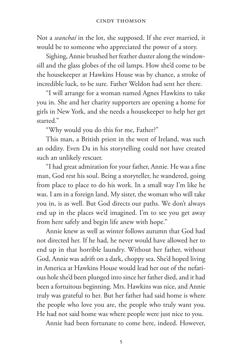Not a *seanchaí* in the lot, she supposed. If she ever married, it would be to someone who appreciated the power of a story.

Sighing, Annie brushed her feather duster along the windowsill and the glass globes of the oil lamps. How she'd come to be the housekeeper at Hawkins House was by chance, a stroke of incredible luck, to be sure. Father Weldon had sent her there.

"I will arrange for a woman named Agnes Hawkins to take you in. She and her charity supporters are opening a home for girls in New York, and she needs a housekeeper to help her get started."

"Why would you do this for me, Father?"

This man, a British priest in the west of Ireland, was such an oddity. Even Da in his storytelling could not have created such an unlikely rescuer.

"I had great admiration for your father, Annie. He was a fine man, God rest his soul. Being a storyteller, he wandered, going from place to place to do his work. In a small way I'm like he was. I am in a foreign land. My sister, the woman who will take you in, is as well. But God directs our paths. We don't always end up in the places we'd imagined. I'm to see you get away from here safely and begin life anew with hope."

Annie knew as well as winter follows autumn that God had not directed her. If he had, he never would have allowed her to end up in that horrible laundry. Without her father, without God, Annie was adrift on a dark, choppy sea. She'd hoped living in America at Hawkins House would lead her out of the nefarious hole she'd been plunged into since her father died, and it had been a fortuitous beginning. Mrs. Hawkins was nice, and Annie truly was grateful to her. But her father had said home is where the people who love you are, the people who truly want you. He had not said home was where people were just nice to you.

Annie had been fortunate to come here, indeed. However,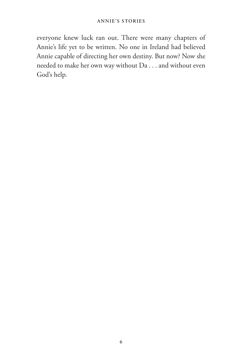everyone knew luck ran out. There were many chapters of Annie's life yet to be written. No one in Ireland had believed Annie capable of directing her own destiny. But now? Now she needed to make her own way without Da . . . and without even God's help.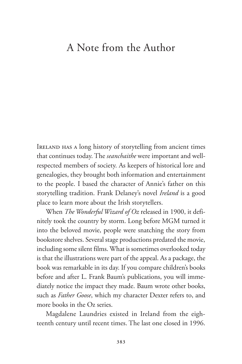### A Note from the Author

Ireland has a long history of storytelling from ancient times that continues today. The *seanchaithe* were important and wellrespected members of society. As keepers of historical lore and genealogies, they brought both information and entertainment to the people. I based the character of Annie's father on this storytelling tradition. Frank Delaney's novel *Ireland* is a good place to learn more about the Irish storytellers.

When *The Wonderful Wizard of Oz* released in 1900, it definitely took the country by storm. Long before MGM turned it into the beloved movie, people were snatching the story from bookstore shelves. Several stage productions predated the movie, including some silent films. What is sometimes overlooked today is that the illustrations were part of the appeal. As a package, the book was remarkable in its day. If you compare children's books before and after L. Frank Baum's publications, you will immediately notice the impact they made. Baum wrote other books, such as *Father Goose*, which my character Dexter refers to, and more books in the Oz series.

Magdalene Laundries existed in Ireland from the eighteenth century until recent times. The last one closed in 1996.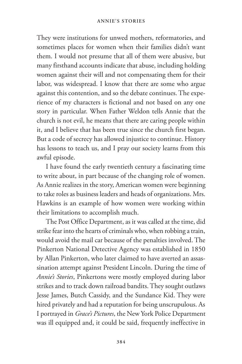They were institutions for unwed mothers, reformatories, and sometimes places for women when their families didn't want them. I would not presume that all of them were abusive, but many firsthand accounts indicate that abuse, including holding women against their will and not compensating them for their labor, was widespread. I know that there are some who argue against this contention, and so the debate continues. The experience of my characters is fictional and not based on any one story in particular. When Father Weldon tells Annie that the church is not evil, he means that there are caring people within it, and I believe that has been true since the church first began. But a code of secrecy has allowed injustice to continue. History has lessons to teach us, and I pray our society learns from this awful episode.

I have found the early twentieth century a fascinating time to write about, in part because of the changing role of women. As Annie realizes in the story, American women were beginning to take roles as business leaders and heads of organizations. Mrs. Hawkins is an example of how women were working within their limitations to accomplish much.

The Post Office Department, as it was called at the time, did strike fear into the hearts of criminals who, when robbing a train, would avoid the mail car because of the penalties involved. The Pinkerton National Detective Agency was established in 1850 by Allan Pinkerton, who later claimed to have averted an assassination attempt against President Lincoln. During the time of *Annie's Stories*, Pinkertons were mostly employed during labor strikes and to track down railroad bandits. They sought outlaws Jesse James, Butch Cassidy, and the Sundance Kid. They were hired privately and had a reputation for being unscrupulous. As I portrayed in *Grace's Pictures*, the New York Police Department was ill equipped and, it could be said, frequently ineffective in